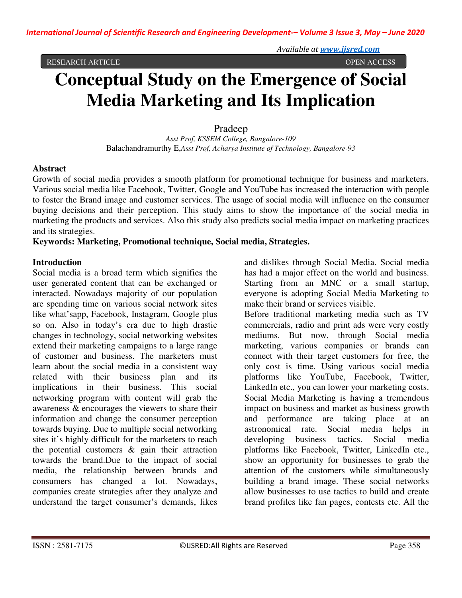RESEARCH ARTICLE OPEN ACCESS

*Available at www.ijsred.com*

# **Conceptual Study on the Emergence of Social Media Marketing and Its Implication**

Pradeep

*Asst Prof, KSSEM College, Bangalore-109* Balachandramurthy E,*Asst Prof, Acharya Institute of Technology, Bangalore-93* 

## **Abstract**

Growth of social media provides a smooth platform for promotional technique for business and marketers. Various social media like Facebook, Twitter, Google and YouTube has increased the interaction with people to foster the Brand image and customer services. The usage of social media will influence on the consumer buying decisions and their perception. This study aims to show the importance of the social media in marketing the products and services. Also this study also predicts social media impact on marketing practices and its strategies.

# **Keywords: Marketing, Promotional technique, Social media, Strategies.**

## **Introduction**

Social media is a broad term which signifies the user generated content that can be exchanged or interacted. Nowadays majority of our population are spending time on various social network sites like what'sapp, Facebook, Instagram, Google plus so on. Also in today's era due to high drastic changes in technology, social networking websites extend their marketing campaigns to a large range of customer and business. The marketers must learn about the social media in a consistent way related with their business plan and its implications in their business. This social networking program with content will grab the awareness & encourages the viewers to share their information and change the consumer perception towards buying. Due to multiple social networking sites it's highly difficult for the marketers to reach the potential customers & gain their attraction towards the brand.Due to the impact of social media, the relationship between brands and consumers has changed a lot. Nowadays, companies create strategies after they analyze and understand the target consumer's demands, likes

and dislikes through Social Media. Social media has had a major effect on the world and business. Starting from an MNC or a small startup, everyone is adopting Social Media Marketing to make their brand or services visible.

Before traditional marketing media such as TV commercials, radio and print ads were very costly mediums. But now, through Social media marketing, various companies or brands can connect with their target customers for free, the only cost is time. Using various social media platforms like YouTube, Facebook, Twitter, LinkedIn etc., you can lower your marketing costs. Social Media Marketing is having a tremendous impact on business and market as business growth and performance are taking place at an astronomical rate. Social media helps in developing business tactics. Social media platforms like Facebook, Twitter, LinkedIn etc., show an opportunity for businesses to grab the attention of the customers while simultaneously building a brand image. These social networks allow businesses to use tactics to build and create brand profiles like fan pages, contests etc. All the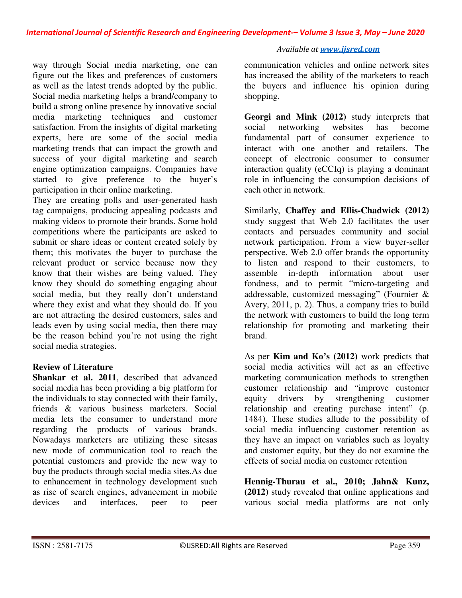#### *Available at www.ijsred.com*

way through Social media marketing, one can figure out the likes and preferences of customers as well as the latest trends adopted by the public. Social media marketing helps a brand/company to build a strong online presence by innovative social media marketing techniques and customer satisfaction. From the insights of digital marketing experts, here are some of the social media marketing trends that can impact the growth and success of your digital marketing and search engine optimization campaigns. Companies have started to give preference to the buyer's participation in their online marketing.

They are creating polls and user-generated hash tag campaigns, producing appealing podcasts and making videos to promote their brands. Some hold competitions where the participants are asked to submit or share ideas or content created solely by them; this motivates the buyer to purchase the relevant product or service because now they know that their wishes are being valued. They know they should do something engaging about social media, but they really don't understand where they exist and what they should do. If you are not attracting the desired customers, sales and leads even by using social media, then there may be the reason behind you're not using the right social media strategies.

# **Review of Literature**

**Shankar et al. 2011**, described that advanced social media has been providing a big platform for the individuals to stay connected with their family, friends & various business marketers. Social media lets the consumer to understand more regarding the products of various brands. Nowadays marketers are utilizing these sitesas new mode of communication tool to reach the potential customers and provide the new way to buy the products through social media sites.As due to enhancement in technology development such as rise of search engines, advancement in mobile devices and interfaces, peer to peer

communication vehicles and online network sites has increased the ability of the marketers to reach the buyers and influence his opinion during shopping.

**Georgi and Mink (2012)** study interprets that social networking websites has become fundamental part of consumer experience to interact with one another and retailers. The concept of electronic consumer to consumer interaction quality (eCCIq) is playing a dominant role in influencing the consumption decisions of each other in network.

Similarly, **Chaffey and Ellis-Chadwick (2012)**  study suggest that Web 2.0 facilitates the user contacts and persuades community and social network participation. From a view buyer-seller perspective, Web 2.0 offer brands the opportunity to listen and respond to their customers, to assemble in-depth information about user fondness, and to permit "micro-targeting and addressable, customized messaging" (Fournier & Avery, 2011, p. 2). Thus, a company tries to build the network with customers to build the long term relationship for promoting and marketing their brand.

As per **Kim and Ko's (2012)** work predicts that social media activities will act as an effective marketing communication methods to strengthen customer relationship and "improve customer equity drivers by strengthening customer relationship and creating purchase intent" (p. 1484). These studies allude to the possibility of social media influencing customer retention as they have an impact on variables such as loyalty and customer equity, but they do not examine the effects of social media on customer retention

**Hennig-Thurau et al., 2010; Jahn& Kunz, (2012)** study revealed that online applications and various social media platforms are not only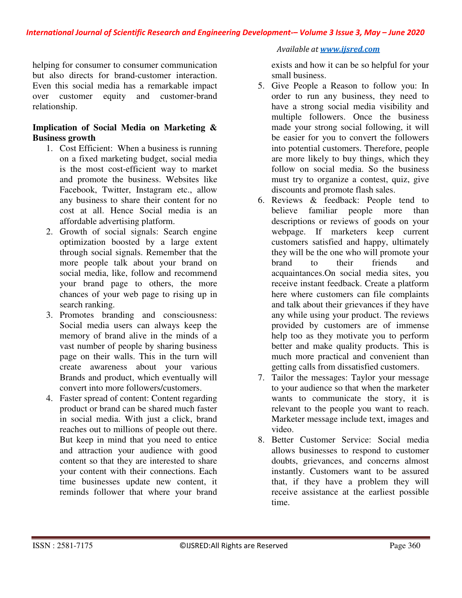helping for consumer to consumer communication but also directs for brand-customer interaction. Even this social media has a remarkable impact over customer equity and customer-brand relationship.

# **Implication of Social Media on Marketing & Business growth**

- 1. Cost Efficient: When a business is running on a fixed marketing budget, social media is the most cost-efficient way to market and promote the business. Websites like Facebook, Twitter, Instagram etc., allow any business to share their content for no cost at all. Hence Social media is an affordable advertising platform.
- 2. Growth of social signals: Search engine optimization boosted by a large extent through social signals. Remember that the more people talk about your brand on social media, like, follow and recommend your brand page to others, the more chances of your web page to rising up in search ranking.
- 3. Promotes branding and consciousness: Social media users can always keep the memory of brand alive in the minds of a vast number of people by sharing business page on their walls. This in the turn will create awareness about your various Brands and product, which eventually will convert into more followers/customers.
- 4. Faster spread of content: Content regarding product or brand can be shared much faster in social media. With just a click, brand reaches out to millions of people out there. But keep in mind that you need to entice and attraction your audience with good content so that they are interested to share your content with their connections. Each time businesses update new content, it reminds follower that where your brand

# *Available at www.ijsred.com*

exists and how it can be so helpful for your small business.

- 5. Give People a Reason to follow you: In order to run any business, they need to have a strong social media visibility and multiple followers. Once the business made your strong social following, it will be easier for you to convert the followers into potential customers. Therefore, people are more likely to buy things, which they follow on social media. So the business must try to organize a contest, quiz, give discounts and promote flash sales.
- 6. Reviews & feedback: People tend to believe familiar people more than descriptions or reviews of goods on your webpage. If marketers keep current customers satisfied and happy, ultimately they will be the one who will promote your brand to their friends and acquaintances.On social media sites, you receive instant feedback. Create a platform here where customers can file complaints and talk about their grievances if they have any while using your product. The reviews provided by customers are of immense help too as they motivate you to perform better and make quality products. This is much more practical and convenient than getting calls from dissatisfied customers.
- 7. Tailor the messages: Taylor your message to your audience so that when the marketer wants to communicate the story, it is relevant to the people you want to reach. Marketer message include text, images and video.
- 8. Better Customer Service: Social media allows businesses to respond to customer doubts, grievances, and concerns almost instantly. Customers want to be assured that, if they have a problem they will receive assistance at the earliest possible time.